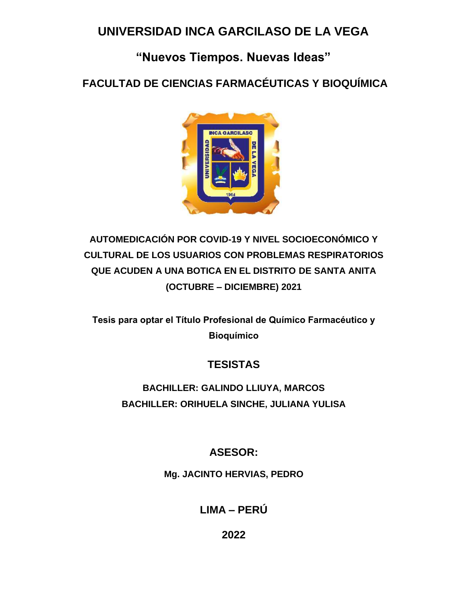## **UNIVERSIDAD INCA GARCILASO DE LA VEGA**

# **"Nuevos Tiempos. Nuevas Ideas"**

**FACULTAD DE CIENCIAS FARMACÉUTICAS Y BIOQUÍMICA**



# **AUTOMEDICACIÓN POR COVID-19 Y NIVEL SOCIOECONÓMICO Y CULTURAL DE LOS USUARIOS CON PROBLEMAS RESPIRATORIOS QUE ACUDEN A UNA BOTICA EN EL DISTRITO DE SANTA ANITA (OCTUBRE – DICIEMBRE) 2021**

**Tesis para optar el Título Profesional de Químico Farmacéutico y Bioquímico**

### **TESISTAS**

## **BACHILLER: GALINDO LLIUYA, MARCOS BACHILLER: ORIHUELA SINCHE, JULIANA YULISA**

### **ASESOR:**

**Mg. JACINTO HERVIAS, PEDRO** 

**LIMA – PERÚ** 

**2022**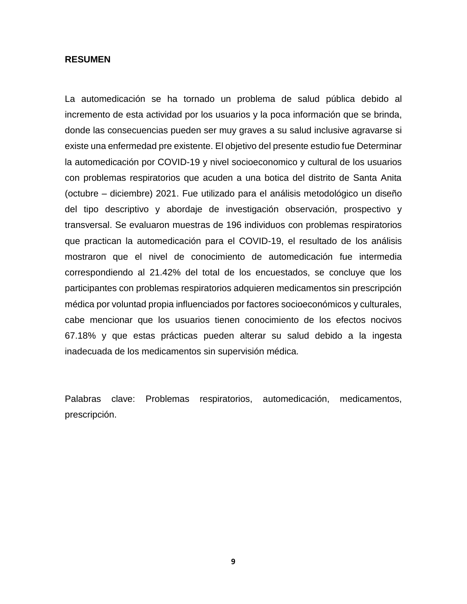#### **RESUMEN**

La automedicación se ha tornado un problema de salud pública debido al incremento de esta actividad por los usuarios y la poca información que se brinda, donde las consecuencias pueden ser muy graves a su salud inclusive agravarse si existe una enfermedad pre existente. El objetivo del presente estudio fue Determinar la automedicación por COVID-19 y nivel socioeconomico y cultural de los usuarios con problemas respiratorios que acuden a una botica del distrito de Santa Anita (octubre – diciembre) 2021. Fue utilizado para el análisis metodológico un diseño del tipo descriptivo y abordaje de investigación observación, prospectivo y transversal. Se evaluaron muestras de 196 individuos con problemas respiratorios que practican la automedicación para el COVID-19, el resultado de los análisis mostraron que el nivel de conocimiento de automedicación fue intermedia correspondiendo al 21.42% del total de los encuestados, se concluye que los participantes con problemas respiratorios adquieren medicamentos sin prescripción médica por voluntad propia influenciados por factores socioeconómicos y culturales, cabe mencionar que los usuarios tienen conocimiento de los efectos nocivos 67.18% y que estas prácticas pueden alterar su salud debido a la ingesta inadecuada de los medicamentos sin supervisión médica.

Palabras clave: Problemas respiratorios, automedicación, medicamentos, prescripción.

**9**